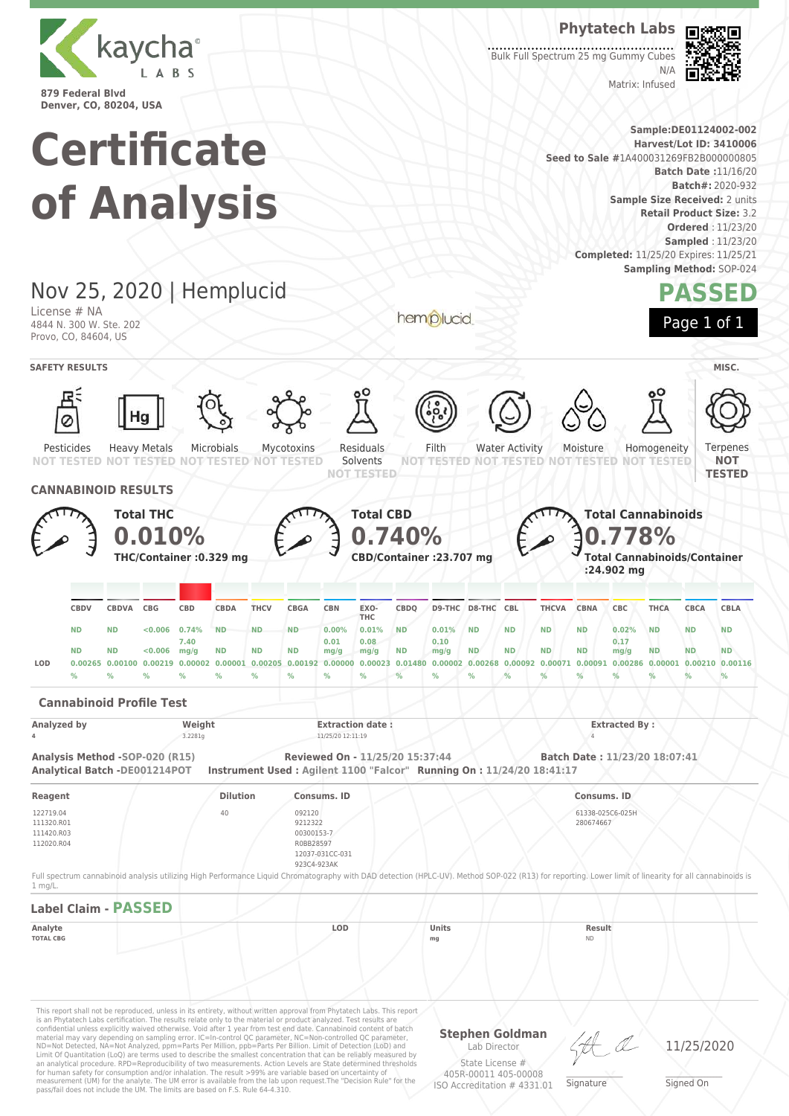

## **Phytatech Labs**

Matrix: Infused

Bulk Full Spectrum 25 mg Gummy Cubes  $N/L$ 



**Sample:DE01124002-002**

**Certificate Harvest/Lot ID: 3410006 Seed to Sale #**1A400031269FB2B000000805 **Batch Date :**11/16/20 **Batch#:** 2020-932 **of Analysis Sample Size Received:** 2 units **Retail Product Size:** 3.2 **Ordered** : 11/23/20 **Sampled** : 11/23/20 **Completed:** 11/25/20 Expires: 11/25/21 **Sampling Method:** SOP-024 Nov 25, 2020 | Hemplucid **PASSED** License # NA hemplucid Page 1 of 1 4844 N. 300 W. Ste. 202 Provo, CO, 84604, US **SAFETY RESULTS** MISC. Microbials Water Activity Residuals Filth Homogeneity Ternenes Pesticides Heavy Metals Mycotoxins Moisture Solvents **NOT NOT TESTED TESTED NOT TESTED** NOT **NOT TESTED TESTED NOT NOT TESTED NOT TESTED NOT TESTED NOT TESTED TESTED CANNABINOID RESULTS Total THC Total CBD Total Cannabinoids 0.778% 0.740% 0.010% THC/Container :0.329 mg CBD/Container :23.707 mg Total Cannabinoids/Container :24.902 mg CBDQ D9-THC D8-THC CBL THCVA CBNA CBC THCA CBCA CBLA CBDV CBDVA CBG CBD CBDA THCV CBGA CBN EXO-THC ND ND <0.006 0.74% ND ND ND 0.00% 0.01% ND 0.01% ND ND ND ND 0.02% ND ND ND 7.40 0.01 0.08 0.10 0.17 ND ND <0.006 mg/g ND ND ND mg/g ND mg/g ND ND ND ND mg/g ND ND ND mg/g** LOD 0.00265 0.00100 0.00219 0.00002 0.00001 0.00205 0.00192 0.00000 0.00023 0.01480 0.00002 0.00268 0.00092 0.00071 0.00091 0.00286 0.00001 0.00210 0.00116 **% % % % % % % % % % % % % % % % % % % Cannabinoid Profile Test Analyzed by Weight Extraction date : Extracted By : 4** 3.2281g 11/25/20 12:11:19 4 **Analysis Method -SOP-020 (R15) Reviewed On - 11/25/20 15:37:44 Batch Date : 11/23/20 18:07:41 Analytical Batch -DE001214POT Instrument Used : Agilent 1100 "Falcor" Running On : 11/24/20 18:41:17 Reagent Dilution Consums. ID Consums. ID** 122719.04 61338-025C6-025H 40 092120 111320.R01 280674667 9212322 111420.R03 00300153-7 112020.R04 R0BB28597 12037-031CC-031 923C4-923AK Full spectrum cannabinoid analysis utilizing High Performance Liquid Chromatography with DAD detection (HPLC-UV). Method SOP-022 (R13) for reporting. Lower limit of linearity for all cannabinoids is

**Label Claim - PASSED Analyte LOD Units Result TOTAL CBG mg** ND

This report shall not be reproduced, unless in its entirety, without written approval from Phytatech Labs. This report is an Phytatech Labs certification. The results relate only to the material or product analyzed. Test results are<br>confidential unless explicitly waived otherwise. Void after 1 year from test end date. Cannabinoid content o Limit Of Quantitation (LoQ) are terms used to describe the smallest concentration that can be reliably measured by an analytical procedure. RPD=Reproducibility of two measurements. Action Levels are State determined thresholds for human safety for consumption and/or inhalation. The result >99% are variable based on uncertainty of measurement (UM) for the analyte. The UM error is available from the lab upon request.The "Decision Rule" for the pass/fail does not include the UM. The limits are based on F.S. Rule 64-4.310.

1 mg/L.

**Stephen Goldman** Lab Director

\_\_\_\_\_\_\_\_\_\_\_\_\_\_\_\_\_\_\_ Signature

11/25/2020

State License # 405R-00011 405-00008 ISO Accreditation # 4331.01

\_\_\_\_\_\_\_\_\_\_\_\_\_\_\_\_\_\_\_ Signed On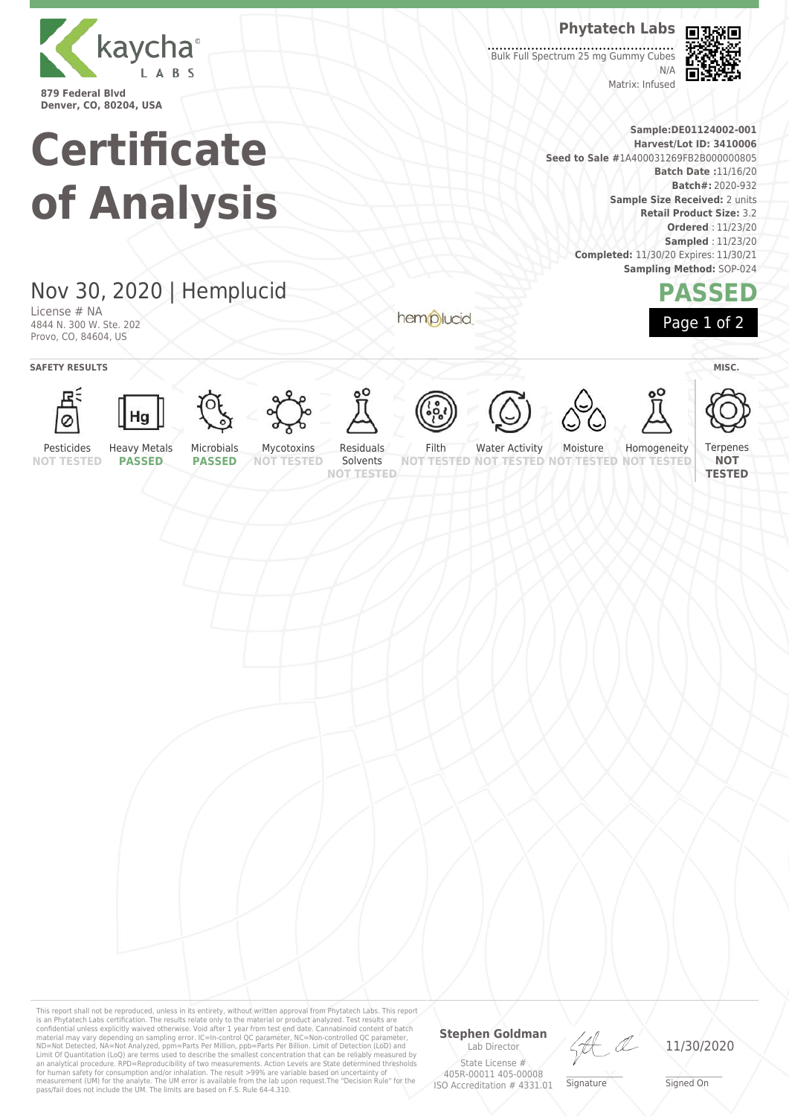

#### **Phytatech Labs**

Bulk Full Spectrum 25 mg Gummy Cubes  $N/L$ 



**Sample:DE01124002-001 Harvest/Lot ID: 3410006 Seed to Sale #**1A400031269FB2B000000805 **Batch Date :**11/16/20 **Batch#:** 2020-932 **Sample Size Received:** 2 units **Retail Product Size:** 3.2 **Ordered** : 11/23/20 **Sampled** : 11/23/20 **Completed:** 11/30/20 Expires: 11/30/21 **Sampling Method:** SOP-024

Matrix: Infused



# Nov 30, 2020 | Hemplucid

**Certificate**

**of Analysis**

License # NA 4844 N. 300 W. Ste. 202 Provo, CO, 84604, US

**SAFETY RESULTS** MISC.



























Terpenes

Pesticides **NOT TESTED**

**PASSED**

**PASSED**

Solvents **NOT TESTED**

hemplucid

Filth **NOT TESTED NOT TESTED** Water Activity

**TESTED NOT** Homogeneity **NOT TESTED**

**NOT TESTED**

**NOT TESTED**



Moisture





**Stephen Goldman** Lab Director State License #

405R-00011 405-00008 ISO Accreditation # 4331.01

Ht

\_\_\_\_\_\_\_\_\_\_\_\_\_\_\_\_\_\_\_ Signature

11/30/2020

\_\_\_\_\_\_\_\_\_\_\_\_\_\_\_\_\_\_\_ Signed On